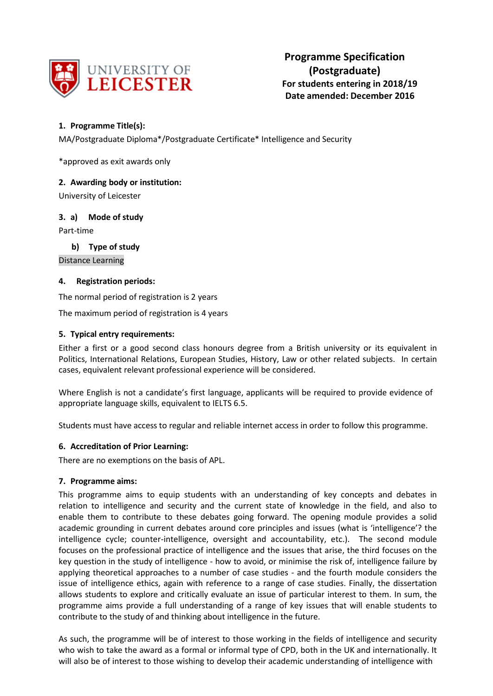

**Programme Specification (Postgraduate) For students entering in 2018/19 Date amended: December 2016** 

# **1. Programme Title(s):**

MA/Postgraduate Diploma\*/Postgraduate Certificate\* Intelligence and Security

\*approved as exit awards only

# **2. Awarding body or institution:**

University of Leicester

# **3. a) Mode of study**

Part-time

**b) Type of study**

Distance Learning

#### **4. Registration periods:**

The normal period of registration is 2 years

The maximum period of registration is 4 years

#### **5. Typical entry requirements:**

Either a first or a good second class honours degree from a British university or its equivalent in Politics, International Relations, European Studies, History, Law or other related subjects. In certain cases, equivalent relevant professional experience will be considered.

Where English is not a candidate's first language, applicants will be required to provide evidence of appropriate language skills, equivalent to IELTS 6.5.

Students must have access to regular and reliable internet access in order to follow this programme.

#### **6. Accreditation of Prior Learning:**

There are no exemptions on the basis of APL.

#### **7. Programme aims:**

This programme aims to equip students with an understanding of key concepts and debates in relation to intelligence and security and the current state of knowledge in the field, and also to enable them to contribute to these debates going forward. The opening module provides a solid academic grounding in current debates around core principles and issues (what is 'intelligence'? the intelligence cycle; counter-intelligence, oversight and accountability, etc.). The second module focuses on the professional practice of intelligence and the issues that arise, the third focuses on the key question in the study of intelligence - how to avoid, or minimise the risk of, intelligence failure by applying theoretical approaches to a number of case studies - and the fourth module considers the issue of intelligence ethics, again with reference to a range of case studies. Finally, the dissertation allows students to explore and critically evaluate an issue of particular interest to them. In sum, the programme aims provide a full understanding of a range of key issues that will enable students to contribute to the study of and thinking about intelligence in the future.

As such, the programme will be of interest to those working in the fields of intelligence and security who wish to take the award as a formal or informal type of CPD, both in the UK and internationally. It will also be of interest to those wishing to develop their academic understanding of intelligence with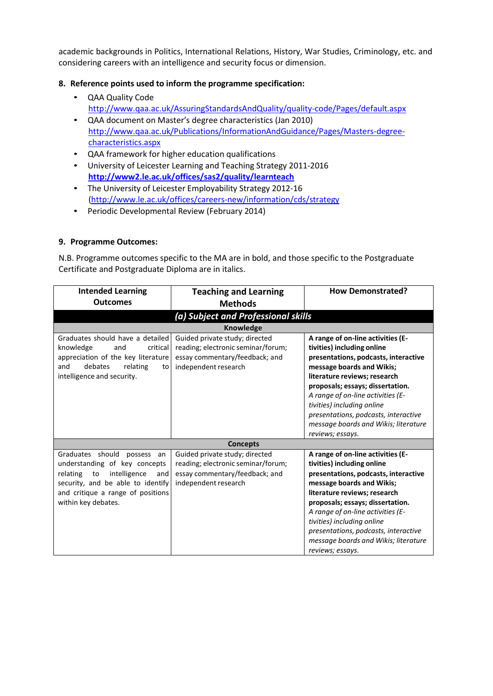academic backgrounds in Politics, International Relations, History, War Studies, Criminology, etc. and considering careers with an intelligence and security focus or dimension.

# **8. Reference points used to inform the programme specification:**

- QAA Quality Code <http://www.qaa.ac.uk/AssuringStandardsAndQuality/quality-code/Pages/default.aspx>
- QAA document on Master's degree characteristics (Jan 2010) [http://www.qaa.ac.uk/Publications/InformationAndGuidance/Pages/Masters-degree](http://www.qaa.ac.uk/Publications/InformationAndGuidance/Pages/Masters-degree-characteristics.aspx)[characteristics.aspx](http://www.qaa.ac.uk/Publications/InformationAndGuidance/Pages/Masters-degree-characteristics.aspx)
- QAA framework for higher education qualifications
- University of Leicester Learning and Teaching Strategy 2011-2016 **<http://www2.le.ac.uk/offices/sas2/quality/learnteach>**
- The University of Leicester Employability Strategy 2012-16 [\(http://www.le.ac.uk/offices/careers-new/information/cds/strategy](http://www.le.ac.uk/offices/careers-new/information/cds/strategy)
- Periodic Developmental Review (February 2014)

#### **9. Programme Outcomes:**

N.B. Programme outcomes specific to the MA are in bold, and those specific to the Postgraduate Certificate and Postgraduate Diploma are in italics.

| <b>Intended Learning</b>              | <b>Teaching and Learning</b>        | <b>How Demonstrated?</b>             |  |  |
|---------------------------------------|-------------------------------------|--------------------------------------|--|--|
| <b>Outcomes</b>                       | <b>Methods</b>                      |                                      |  |  |
|                                       | (a) Subject and Professional skills |                                      |  |  |
|                                       | <b>Knowledge</b>                    |                                      |  |  |
| Graduates should have a detailed      | Guided private study; directed      | A range of on-line activities (E-    |  |  |
| knowledge<br>critical<br>and          | reading; electronic seminar/forum;  | tivities) including online           |  |  |
| appreciation of the key literature    | essay commentary/feedback; and      | presentations, podcasts, interactive |  |  |
| debates<br>relating<br>and<br>to      | independent research                | message boards and Wikis;            |  |  |
| intelligence and security.            |                                     | literature reviews; research         |  |  |
|                                       |                                     | proposals; essays; dissertation.     |  |  |
|                                       |                                     | A range of on-line activities (E-    |  |  |
|                                       |                                     | tivities) including online           |  |  |
|                                       |                                     | presentations, podcasts, interactive |  |  |
|                                       |                                     | message boards and Wikis; literature |  |  |
|                                       |                                     | reviews; essays.                     |  |  |
|                                       | <b>Concepts</b>                     |                                      |  |  |
| Graduates should<br>possess<br>an     | Guided private study; directed      | A range of on-line activities (E-    |  |  |
| understanding of key concepts         | reading; electronic seminar/forum;  | tivities) including online           |  |  |
| intelligence<br>relating<br>to<br>and | essay commentary/feedback; and      | presentations, podcasts, interactive |  |  |
| security, and be able to identify     | independent research                | message boards and Wikis;            |  |  |
| and critique a range of positions     |                                     | literature reviews; research         |  |  |
| within key debates.                   |                                     | proposals; essays; dissertation.     |  |  |
|                                       |                                     | A range of on-line activities (E-    |  |  |
|                                       |                                     | tivities) including online           |  |  |
|                                       |                                     | presentations, podcasts, interactive |  |  |
|                                       |                                     | message boards and Wikis; literature |  |  |
|                                       |                                     | reviews; essays.                     |  |  |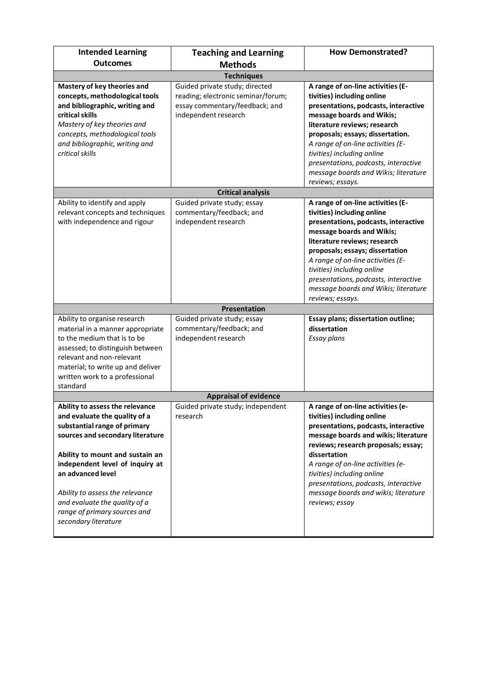| <b>Intended Learning</b>                                                                                                                                                                                                                                                                                                                                    | <b>Teaching and Learning</b>                                                                                                   | <b>How Demonstrated?</b>                                                                                                                                                                                                                                                                                                                                                        |
|-------------------------------------------------------------------------------------------------------------------------------------------------------------------------------------------------------------------------------------------------------------------------------------------------------------------------------------------------------------|--------------------------------------------------------------------------------------------------------------------------------|---------------------------------------------------------------------------------------------------------------------------------------------------------------------------------------------------------------------------------------------------------------------------------------------------------------------------------------------------------------------------------|
| <b>Outcomes</b>                                                                                                                                                                                                                                                                                                                                             | <b>Methods</b>                                                                                                                 |                                                                                                                                                                                                                                                                                                                                                                                 |
|                                                                                                                                                                                                                                                                                                                                                             | <b>Techniques</b>                                                                                                              |                                                                                                                                                                                                                                                                                                                                                                                 |
| Mastery of key theories and<br>concepts, methodological tools<br>and bibliographic, writing and<br>critical skills<br>Mastery of key theories and<br>concepts, methodological tools<br>and bibliographic, writing and<br>critical skills                                                                                                                    | Guided private study; directed<br>reading; electronic seminar/forum;<br>essay commentary/feedback; and<br>independent research | A range of on-line activities (E-<br>tivities) including online<br>presentations, podcasts, interactive<br>message boards and Wikis;<br>literature reviews; research<br>proposals; essays; dissertation.<br>A range of on-line activities (E-<br>tivities) including online<br>presentations, podcasts, interactive<br>message boards and Wikis; literature<br>reviews; essays. |
|                                                                                                                                                                                                                                                                                                                                                             | <b>Critical analysis</b>                                                                                                       |                                                                                                                                                                                                                                                                                                                                                                                 |
| Ability to identify and apply<br>relevant concepts and techniques<br>with independence and rigour                                                                                                                                                                                                                                                           | Guided private study; essay<br>commentary/feedback; and<br>independent research                                                | A range of on-line activities (E-<br>tivities) including online<br>presentations, podcasts, interactive<br>message boards and Wikis;<br>literature reviews; research<br>proposals; essays; dissertation<br>A range of on-line activities (E-<br>tivities) including online<br>presentations, podcasts, interactive<br>message boards and Wikis; literature<br>reviews; essays.  |
|                                                                                                                                                                                                                                                                                                                                                             | Presentation                                                                                                                   |                                                                                                                                                                                                                                                                                                                                                                                 |
| Ability to organise research<br>material in a manner appropriate<br>to the medium that is to be<br>assessed; to distinguish between<br>relevant and non-relevant<br>material; to write up and deliver<br>written work to a professional<br>standard                                                                                                         | Guided private study; essay<br>commentary/feedback; and<br>independent research                                                | Essay plans; dissertation outline;<br>dissertation<br><b>Essay plans</b>                                                                                                                                                                                                                                                                                                        |
|                                                                                                                                                                                                                                                                                                                                                             | <b>Appraisal of evidence</b>                                                                                                   |                                                                                                                                                                                                                                                                                                                                                                                 |
| Ability to assess the relevance<br>and evaluate the quality of a<br>substantial range of primary<br>sources and secondary literature<br>Ability to mount and sustain an<br>independent level of inquiry at<br>an advanced level<br>Ability to assess the relevance<br>and evaluate the quality of a<br>range of primary sources and<br>secondary literature | Guided private study; independent<br>research                                                                                  | A range of on-line activities (e-<br>tivities) including online<br>presentations, podcasts, interactive<br>message boards and wikis; literature<br>reviews; research proposals; essay;<br>dissertation<br>A range of on-line activities (e-<br>tivities) including online<br>presentations, podcasts, interactive<br>message boards and wikis; literature<br>reviews; essay     |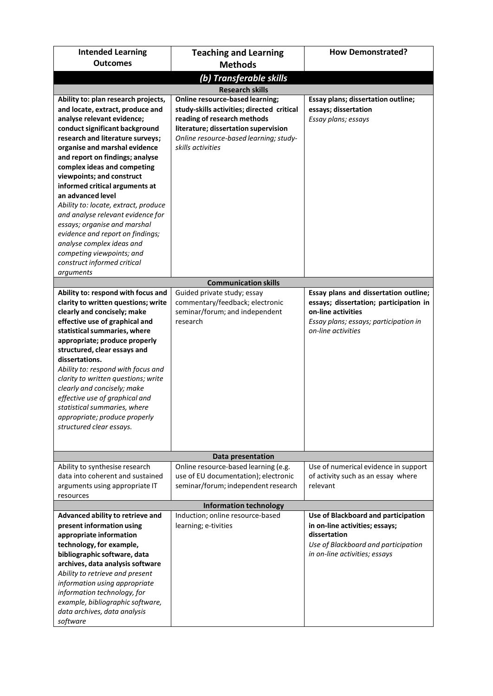| <b>Intended Learning</b>                                                                                                                                                                                                                                                                                                                                                                                                                                                                                                                         | <b>Teaching and Learning</b>                                                                                                                                                                                               | <b>How Demonstrated?</b>                                                                                                                                             |  |  |
|--------------------------------------------------------------------------------------------------------------------------------------------------------------------------------------------------------------------------------------------------------------------------------------------------------------------------------------------------------------------------------------------------------------------------------------------------------------------------------------------------------------------------------------------------|----------------------------------------------------------------------------------------------------------------------------------------------------------------------------------------------------------------------------|----------------------------------------------------------------------------------------------------------------------------------------------------------------------|--|--|
| <b>Outcomes</b>                                                                                                                                                                                                                                                                                                                                                                                                                                                                                                                                  | <b>Methods</b>                                                                                                                                                                                                             |                                                                                                                                                                      |  |  |
| (b) Transferable skills                                                                                                                                                                                                                                                                                                                                                                                                                                                                                                                          |                                                                                                                                                                                                                            |                                                                                                                                                                      |  |  |
|                                                                                                                                                                                                                                                                                                                                                                                                                                                                                                                                                  | <b>Research skills</b>                                                                                                                                                                                                     |                                                                                                                                                                      |  |  |
| Ability to: plan research projects,<br>and locate, extract, produce and<br>analyse relevant evidence;<br>conduct significant background<br>research and literature surveys;<br>organise and marshal evidence<br>and report on findings; analyse<br>complex ideas and competing<br>viewpoints; and construct<br>informed critical arguments at<br>an advanced level<br>Ability to: locate, extract, produce<br>and analyse relevant evidence for<br>essays; organise and marshal<br>evidence and report on findings;<br>analyse complex ideas and | <b>Online resource-based learning;</b><br>study-skills activities; directed critical<br>reading of research methods<br>literature; dissertation supervision<br>Online resource-based learning; study-<br>skills activities | Essay plans; dissertation outline;<br>essays; dissertation<br>Essay plans; essays                                                                                    |  |  |
| competing viewpoints; and<br>construct informed critical                                                                                                                                                                                                                                                                                                                                                                                                                                                                                         |                                                                                                                                                                                                                            |                                                                                                                                                                      |  |  |
| arguments                                                                                                                                                                                                                                                                                                                                                                                                                                                                                                                                        |                                                                                                                                                                                                                            |                                                                                                                                                                      |  |  |
|                                                                                                                                                                                                                                                                                                                                                                                                                                                                                                                                                  | <b>Communication skills</b>                                                                                                                                                                                                |                                                                                                                                                                      |  |  |
| Ability to: respond with focus and<br>clarity to written questions; write<br>clearly and concisely; make<br>effective use of graphical and<br>statistical summaries, where<br>appropriate; produce properly<br>structured, clear essays and<br>dissertations.<br>Ability to: respond with focus and<br>clarity to written questions; write<br>clearly and concisely; make<br>effective use of graphical and<br>statistical summaries, where<br>appropriate; produce properly<br>structured clear essays.                                         | Guided private study; essay<br>commentary/feedback; electronic<br>seminar/forum; and independent<br>research                                                                                                               | Essay plans and dissertation outline;<br>essays; dissertation; participation in<br>on-line activities<br>Essay plans; essays; participation in<br>on-line activities |  |  |
|                                                                                                                                                                                                                                                                                                                                                                                                                                                                                                                                                  | Data presentation                                                                                                                                                                                                          |                                                                                                                                                                      |  |  |
| Ability to synthesise research<br>data into coherent and sustained<br>arguments using appropriate IT<br>resources                                                                                                                                                                                                                                                                                                                                                                                                                                | Online resource-based learning (e.g.<br>use of EU documentation); electronic<br>seminar/forum; independent research                                                                                                        | Use of numerical evidence in support<br>of activity such as an essay where<br>relevant                                                                               |  |  |
|                                                                                                                                                                                                                                                                                                                                                                                                                                                                                                                                                  | <b>Information technology</b>                                                                                                                                                                                              |                                                                                                                                                                      |  |  |
| Advanced ability to retrieve and<br>present information using<br>appropriate information<br>technology, for example,<br>bibliographic software, data<br>archives, data analysis software<br>Ability to retrieve and present<br>information using appropriate<br>information technology, for<br>example, bibliographic software,<br>data archives, data analysis<br>software                                                                                                                                                                      | Induction; online resource-based<br>learning; e-tivities                                                                                                                                                                   | Use of Blackboard and participation<br>in on-line activities; essays;<br>dissertation<br>Use of Blackboard and participation<br>in on-line activities; essays        |  |  |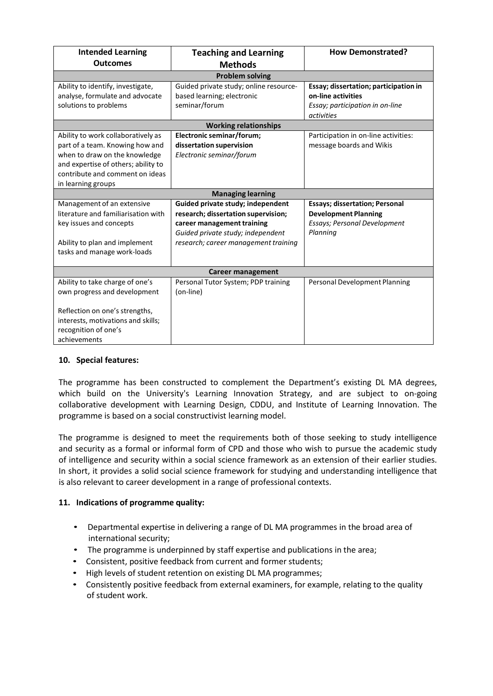| <b>Intended Learning</b>            | <b>Teaching and Learning</b>           | <b>How Demonstrated?</b>              |  |
|-------------------------------------|----------------------------------------|---------------------------------------|--|
| <b>Outcomes</b>                     | <b>Methods</b>                         |                                       |  |
|                                     | <b>Problem solving</b>                 |                                       |  |
| Ability to identify, investigate,   | Guided private study; online resource- | Essay; dissertation; participation in |  |
| analyse, formulate and advocate     | based learning; electronic             | on-line activities                    |  |
| solutions to problems               | seminar/forum                          | Essay; participation in on-line       |  |
|                                     |                                        | activities                            |  |
|                                     | <b>Working relationships</b>           |                                       |  |
| Ability to work collaboratively as  | Electronic seminar/forum;              | Participation in on-line activities:  |  |
| part of a team. Knowing how and     | dissertation supervision               | message boards and Wikis              |  |
| when to draw on the knowledge       | Electronic seminar/forum               |                                       |  |
| and expertise of others; ability to |                                        |                                       |  |
| contribute and comment on ideas     |                                        |                                       |  |
| in learning groups                  |                                        |                                       |  |
|                                     | <b>Managing learning</b>               |                                       |  |
| Management of an extensive          | Guided private study; independent      | <b>Essays; dissertation; Personal</b> |  |
| literature and familiarisation with | research; dissertation supervision;    | <b>Development Planning</b>           |  |
| key issues and concepts             | career management training             | <b>Essays; Personal Development</b>   |  |
|                                     | Guided private study; independent      | Planning                              |  |
| Ability to plan and implement       | research; career management training   |                                       |  |
| tasks and manage work-loads         |                                        |                                       |  |
|                                     |                                        |                                       |  |
| <b>Career management</b>            |                                        |                                       |  |
| Ability to take charge of one's     | Personal Tutor System; PDP training    | Personal Development Planning         |  |
| own progress and development        | (on-line)                              |                                       |  |
|                                     |                                        |                                       |  |
| Reflection on one's strengths,      |                                        |                                       |  |
| interests, motivations and skills;  |                                        |                                       |  |
| recognition of one's                |                                        |                                       |  |
| achievements                        |                                        |                                       |  |

# **10. Special features:**

The programme has been constructed to complement the Department's existing DL MA degrees, which build on the University's Learning Innovation Strategy, and are subject to on-going collaborative development with Learning Design, CDDU, and Institute of Learning Innovation. The programme is based on a social constructivist learning model.

The programme is designed to meet the requirements both of those seeking to study intelligence and security as a formal or informal form of CPD and those who wish to pursue the academic study of intelligence and security within a social science framework as an extension of their earlier studies. In short, it provides a solid social science framework for studying and understanding intelligence that is also relevant to career development in a range of professional contexts.

# **11. Indications of programme quality:**

- Departmental expertise in delivering a range of DL MA programmes in the broad area of international security;
- The programme is underpinned by staff expertise and publications in the area;
- Consistent, positive feedback from current and former students;
- High levels of student retention on existing DL MA programmes;
- Consistently positive feedback from external examiners, for example, relating to the quality of student work.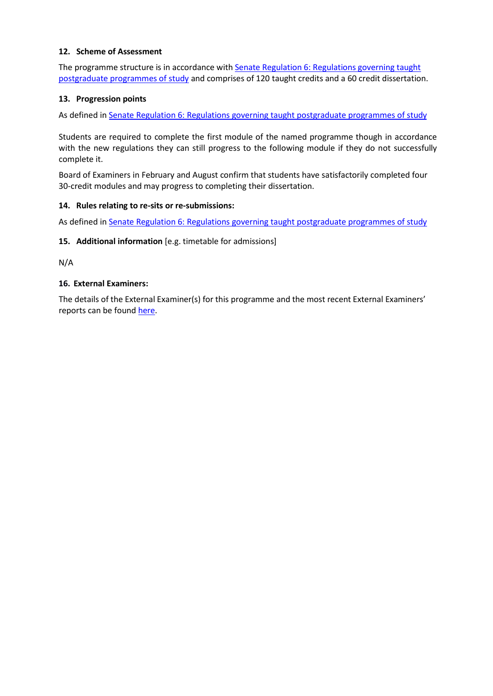#### **12. Scheme of Assessment**

The programme structure is in accordance with Senate Regulation 6: Regulations [governing taught](http://www2.le.ac.uk/offices/sas2/regulations/general-regulations-for-taught-programmes) [postgraduate](http://www2.le.ac.uk/offices/sas2/regulations/general-regulations-for-taught-programmes) programmes of study and comprises of 120 taught credits and a 60 credit dissertation.

#### **13. Progression points**

As defined in Senate Regulation 6: [Regulations governing taught](http://www2.le.ac.uk/offices/sas2/regulations/general-regulations-for-taught-programmes) postgraduate programmes of study

Students are required to complete the first module of the named programme though in accordance with the new regulations they can still progress to the following module if they do not successfully complete it.

Board of Examiners in February and August confirm that students have satisfactorily completed four 30-credit modules and may progress to completing their dissertation.

#### **14. Rules relating to re-sits or re-submissions:**

As defined in Senate Regulation 6: [Regulations governing taught](http://www2.le.ac.uk/offices/sas2/regulations/general-regulations-for-taught-programmes) postgraduate programmes of study

#### **15. Additional information** [e.g. timetable for admissions]

N/A

#### **16. External Examiners:**

The details of the External Examiner(s) for this programme and the most recent External Examiners' reports can be found [here.](https://exampapers.le.ac.uk/xmlui/handle/123456789/227)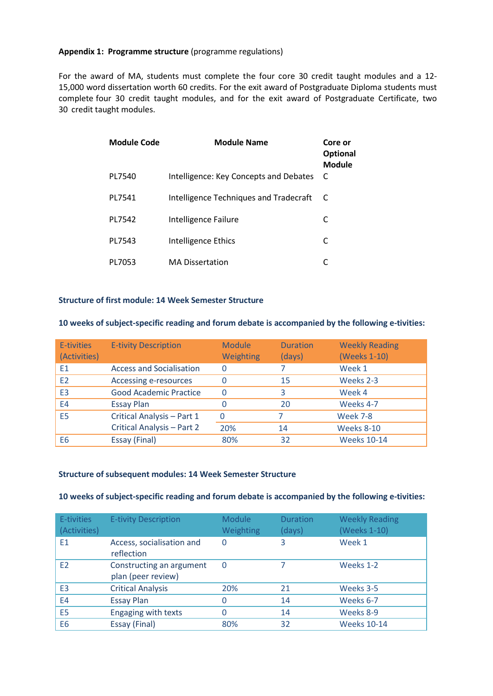#### **Appendix 1: Programme structure** (programme regulations)

For the award of MA, students must complete the four core 30 credit taught modules and a 12- 15,000 word dissertation worth 60 credits. For the exit award of Postgraduate Diploma students must complete four 30 credit taught modules, and for the exit award of Postgraduate Certificate, two 30 credit taught modules.

| <b>Module Code</b> | <b>Module Name</b>                     | Core or<br><b>Optional</b><br>Module |
|--------------------|----------------------------------------|--------------------------------------|
| PL7540             | Intelligence: Key Concepts and Debates | C                                    |
| PL7541             | Intelligence Techniques and Tradecraft |                                      |
| PL7542             | Intelligence Failure                   | C                                    |
| PL7543             | Intelligence Ethics                    | C                                    |
| PL7053             | <b>MA Dissertation</b>                 |                                      |

#### **Structure of first module: 14 Week Semester Structure**

#### **10 weeks of subject-specific reading and forum debate is accompanied by the following e-tivities:**

| E-tivities<br>(Activities) | <b>E-tivity Description</b>     | <b>Module</b><br>Weighting | <b>Duration</b><br>(days) | <b>Weekly Reading</b><br>(Weeks 1-10) |
|----------------------------|---------------------------------|----------------------------|---------------------------|---------------------------------------|
| E <sub>1</sub>             | <b>Access and Socialisation</b> | O                          |                           | Week 1                                |
| E2                         | Accessing e-resources           |                            | 15                        | Weeks 2-3                             |
| E <sub>3</sub>             | <b>Good Academic Practice</b>   | 0                          | 3                         | Week 4                                |
| E4                         | <b>Essay Plan</b>               |                            | 20                        | Weeks 4-7                             |
| E <sub>5</sub>             | Critical Analysis - Part 1      | O                          |                           | <b>Week 7-8</b>                       |
|                            | Critical Analysis - Part 2      | 20%                        | 14                        | Weeks 8-10                            |
| E <sub>6</sub>             | Essay (Final)                   | 80%                        | 32                        | <b>Weeks 10-14</b>                    |

#### **Structure of subsequent modules: 14 Week Semester Structure**

#### **10 weeks of subject-specific reading and forum debate is accompanied by the following e-tivities:**

| E-tivities<br>(Activities) | <b>E-tivity Description</b>                    | <b>Module</b><br>Weighting | <b>Duration</b><br>(days) | <b>Weekly Reading</b><br>(Weeks 1-10) |
|----------------------------|------------------------------------------------|----------------------------|---------------------------|---------------------------------------|
| E <sub>1</sub>             | Access, socialisation and<br>reflection        | $\Omega$                   | 3                         | Week 1                                |
| E2                         | Constructing an argument<br>plan (peer review) | $\Omega$                   |                           | Weeks 1-2                             |
| E <sub>3</sub>             | <b>Critical Analysis</b>                       | 20%                        | 21                        | Weeks 3-5                             |
| E4                         | <b>Essay Plan</b>                              | 0                          | 14                        | Weeks 6-7                             |
| E <sub>5</sub>             | Engaging with texts                            | ი                          | 14                        | Weeks 8-9                             |
| E <sub>6</sub>             | Essay (Final)                                  | 80%                        | 32                        | <b>Weeks 10-14</b>                    |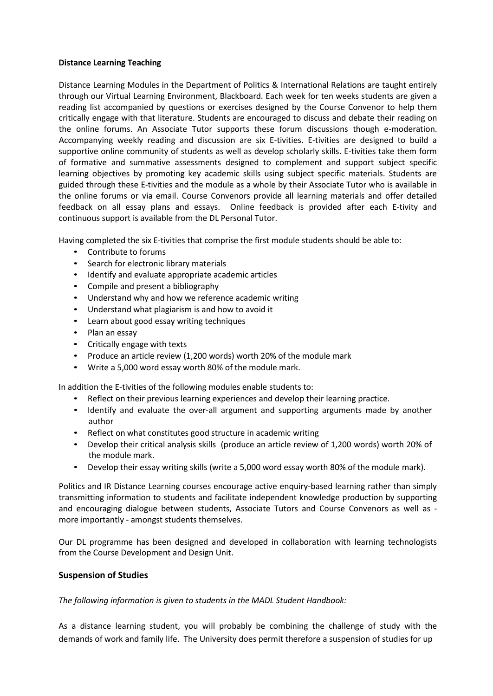#### **Distance Learning Teaching**

Distance Learning Modules in the Department of Politics & International Relations are taught entirely through our Virtual Learning Environment, Blackboard. Each week for ten weeks students are given a reading list accompanied by questions or exercises designed by the Course Convenor to help them critically engage with that literature. Students are encouraged to discuss and debate their reading on the online forums. An Associate Tutor supports these forum discussions though e-moderation. Accompanying weekly reading and discussion are six E-tivities. E-tivities are designed to build a supportive online community of students as well as develop scholarly skills. E-tivities take them form of formative and summative assessments designed to complement and support subject specific learning objectives by promoting key academic skills using subject specific materials. Students are guided through these E-tivities and the module as a whole by their Associate Tutor who is available in the online forums or via email. Course Convenors provide all learning materials and offer detailed feedback on all essay plans and essays. Online feedback is provided after each E-tivity and continuous support is available from the DL Personal Tutor.

Having completed the six E-tivities that comprise the first module students should be able to:

- Contribute to forums
- Search for electronic library materials
- Identify and evaluate appropriate academic articles
- Compile and present a bibliography
- Understand why and how we reference academic writing
- Understand what plagiarism is and how to avoid it
- Learn about good essay writing techniques
- Plan an essay
- Critically engage with texts
- Produce an article review (1,200 words) worth 20% of the module mark
- Write a 5,000 word essay worth 80% of the module mark.

In addition the E-tivities of the following modules enable students to:

- Reflect on their previous learning experiences and develop their learning practice.
- Identify and evaluate the over-all argument and supporting arguments made by another author
- Reflect on what constitutes good structure in academic writing
- Develop their critical analysis skills (produce an article review of 1,200 words) worth 20% of the module mark.
- Develop their essay writing skills (write a 5,000 word essay worth 80% of the module mark).

Politics and IR Distance Learning courses encourage active enquiry-based learning rather than simply transmitting information to students and facilitate independent knowledge production by supporting and encouraging dialogue between students, Associate Tutors and Course Convenors as well as more importantly - amongst students themselves.

Our DL programme has been designed and developed in collaboration with learning technologists from the Course Development and Design Unit.

#### **Suspension of Studies**

*The following information is given to students in the MADL Student Handbook:*

As a distance learning student, you will probably be combining the challenge of study with the demands of work and family life. The University does permit therefore a suspension of studies for up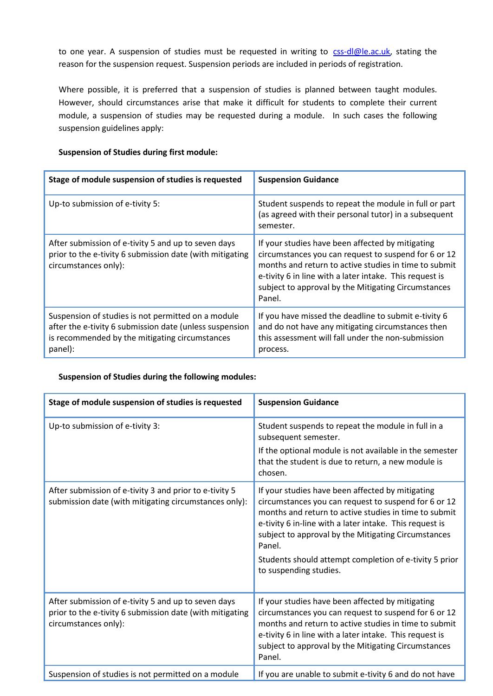to one year. A suspension of studies must be requested in writing to [css-dl@le.ac.uk,](mailto:irdl@le.ac.uk) stating the reason for the suspension request. Suspension periods are included in periods of registration.

Where possible, it is preferred that a suspension of studies is planned between taught modules. However, should circumstances arise that make it difficult for students to complete their current module, a suspension of studies may be requested during a module. In such cases the following suspension guidelines apply:

#### **Suspension of Studies during first module:**

| Stage of module suspension of studies is requested                                                                                                                         | <b>Suspension Guidance</b>                                                                                                                                                                                                                                                                    |
|----------------------------------------------------------------------------------------------------------------------------------------------------------------------------|-----------------------------------------------------------------------------------------------------------------------------------------------------------------------------------------------------------------------------------------------------------------------------------------------|
| Up-to submission of e-tivity 5:                                                                                                                                            | Student suspends to repeat the module in full or part<br>(as agreed with their personal tutor) in a subsequent<br>semester.                                                                                                                                                                   |
| After submission of e-tivity 5 and up to seven days<br>prior to the e-tivity 6 submission date (with mitigating<br>circumstances only):                                    | If your studies have been affected by mitigating<br>circumstances you can request to suspend for 6 or 12<br>months and return to active studies in time to submit<br>e-tivity 6 in line with a later intake. This request is<br>subject to approval by the Mitigating Circumstances<br>Panel. |
| Suspension of studies is not permitted on a module<br>after the e-tivity 6 submission date (unless suspension<br>is recommended by the mitigating circumstances<br>panel): | If you have missed the deadline to submit e-tivity 6<br>and do not have any mitigating circumstances then<br>this assessment will fall under the non-submission<br>process.                                                                                                                   |

# **Suspension of Studies during the following modules:**

| Stage of module suspension of studies is requested                                                                                      | <b>Suspension Guidance</b>                                                                                                                                                                                                                                                                                                                                                        |
|-----------------------------------------------------------------------------------------------------------------------------------------|-----------------------------------------------------------------------------------------------------------------------------------------------------------------------------------------------------------------------------------------------------------------------------------------------------------------------------------------------------------------------------------|
| Up-to submission of e-tivity 3:                                                                                                         | Student suspends to repeat the module in full in a<br>subsequent semester.<br>If the optional module is not available in the semester<br>that the student is due to return, a new module is<br>chosen.                                                                                                                                                                            |
| After submission of e-tivity 3 and prior to e-tivity 5<br>submission date (with mitigating circumstances only):                         | If your studies have been affected by mitigating<br>circumstances you can request to suspend for 6 or 12<br>months and return to active studies in time to submit<br>e-tivity 6 in-line with a later intake. This request is<br>subject to approval by the Mitigating Circumstances<br>Panel.<br>Students should attempt completion of e-tivity 5 prior<br>to suspending studies. |
| After submission of e-tivity 5 and up to seven days<br>prior to the e-tivity 6 submission date (with mitigating<br>circumstances only): | If your studies have been affected by mitigating<br>circumstances you can request to suspend for 6 or 12<br>months and return to active studies in time to submit<br>e-tivity 6 in line with a later intake. This request is<br>subject to approval by the Mitigating Circumstances<br>Panel.                                                                                     |
| Suspension of studies is not permitted on a module                                                                                      | If you are unable to submit e-tivity 6 and do not have                                                                                                                                                                                                                                                                                                                            |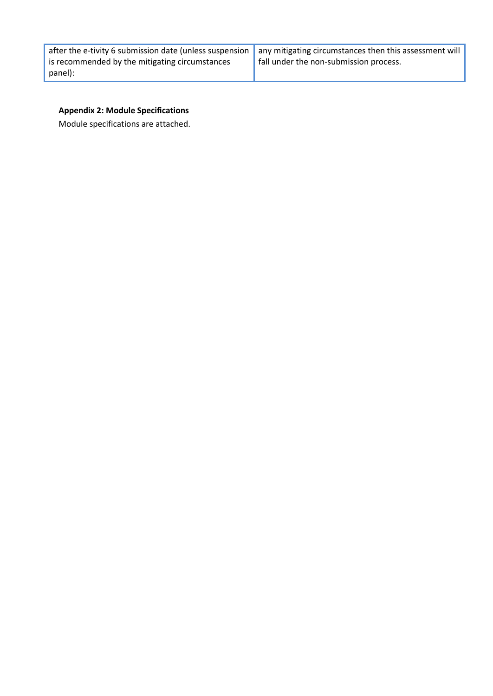|                                                | after the e-tivity 6 submission date (unless suspension $\parallel$ any mitigating circumstances then this assessment will |
|------------------------------------------------|----------------------------------------------------------------------------------------------------------------------------|
| is recommended by the mitigating circumstances | fall under the non-submission process.                                                                                     |
| panel):                                        |                                                                                                                            |

# **Appendix 2: Module Specifications**

Module specifications are attached.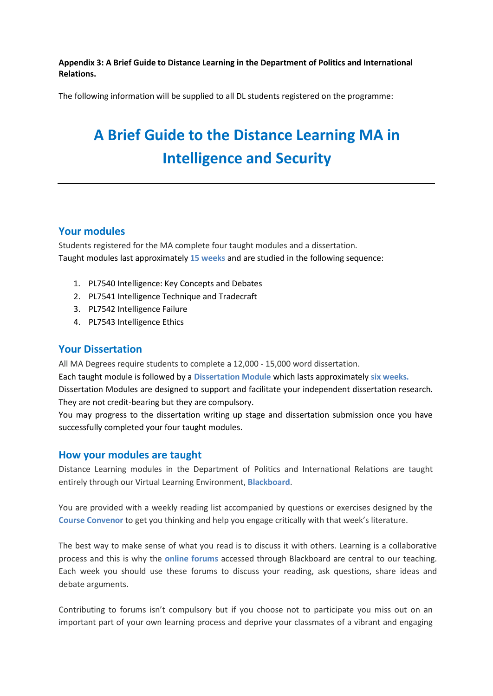**Appendix 3: A Brief Guide to Distance Learning in the Department of Politics and International Relations.**

The following information will be supplied to all DL students registered on the programme:

# **A Brief Guide to the Distance Learning MA in Intelligence and Security**

# **Your modules**

Students registered for the MA complete four taught modules and a dissertation. Taught modules last approximately **15 weeks** and are studied in the following sequence:

- 1. PL7540 Intelligence: Key Concepts and Debates
- 2. PL7541 Intelligence Technique and Tradecraft
- 3. PL7542 Intelligence Failure
- 4. PL7543 Intelligence Ethics

# **Your Dissertation**

All MA Degrees require students to complete a 12,000 - 15,000 word dissertation.

Each taught module is followed by a **Dissertation Module** which lasts approximately **six weeks.** 

Dissertation Modules are designed to support and facilitate your independent dissertation research. They are not credit-bearing but they are compulsory.

You may progress to the dissertation writing up stage and dissertation submission once you have successfully completed your four taught modules.

# **How your modules are taught**

Distance Learning modules in the Department of Politics and International Relations are taught entirely through our Virtual Learning Environment, **Blackboard**.

You are provided with a weekly reading list accompanied by questions or exercises designed by the **Course Convenor** to get you thinking and help you engage critically with that week's literature.

The best way to make sense of what you read is to discuss it with others. Learning is a collaborative process and this is why the **online forums** accessed through Blackboard are central to our teaching. Each week you should use these forums to discuss your reading, ask questions, share ideas and debate arguments.

Contributing to forums isn't compulsory but if you choose not to participate you miss out on an important part of your own learning process and deprive your classmates of a vibrant and engaging